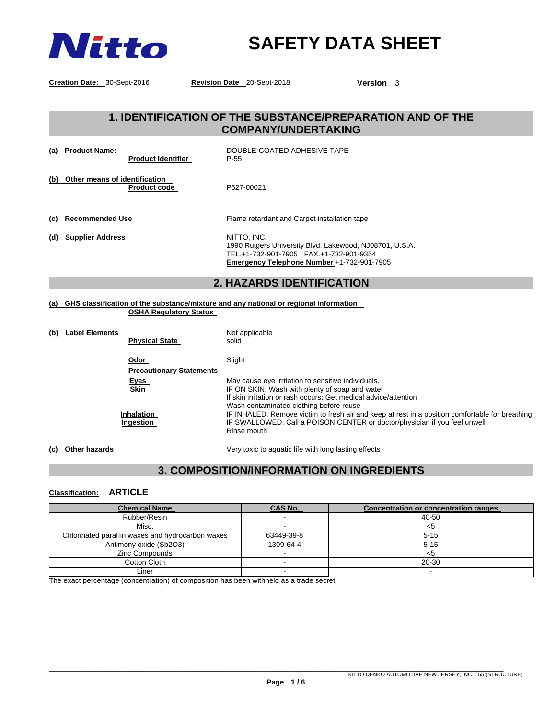

# **SAFETY DATA SHEET**

**Creation Date:** 30-Sept-2016 **Revision Date** 20-Sept-2018 **Version** 3

## **1. IDENTIFICATION OF THE SUBSTANCE/PREPARATION AND OF THE COMPANY/UNDERTAKING**

|                                                          | <b>2. HAZARDS IDENTIFICATION</b>                                                                                                                                |
|----------------------------------------------------------|-----------------------------------------------------------------------------------------------------------------------------------------------------------------|
| (d) Supplier Address                                     | NITTO. INC.<br>1990 Rutgers University Blvd. Lakewood, NJ08701, U.S.A.<br>TEL.+1-732-901-7905 FAX.+1-732-901-9354<br>Emergency Telephone Number +1-732-901-7905 |
| (c) Recommended Use                                      | Flame retardant and Carpet installation tape                                                                                                                    |
| (b) Other means of identification<br><b>Product code</b> | P627-00021                                                                                                                                                      |
| (a) Product Name:<br><b>Product Identifier</b>           | DOUBLE-COATED ADHESIVE TAPE<br>P-55                                                                                                                             |

#### **(a) GHS classification of the substance/mixture and any national or regional information OSHA Regulatory Status**

| (b)<br><b>Label Elements</b><br><b>Physical State</b> | Not applicable<br>solid                                                                         |
|-------------------------------------------------------|-------------------------------------------------------------------------------------------------|
| Odor                                                  | Slight                                                                                          |
| <b>Precautionary Statements</b>                       |                                                                                                 |
| <u>Eyes</u>                                           | May cause eye irritation to sensitive individuals.                                              |
| <b>Skin</b>                                           | IF ON SKIN: Wash with plenty of soap and water                                                  |
|                                                       | If skin irritation or rash occurs: Get medical advice/attention                                 |
|                                                       | Wash contaminated clothing before reuse                                                         |
| <b>Inhalation</b>                                     | IF INHALED: Remove victim to fresh air and keep at rest in a position comfortable for breathing |
| Ingestion                                             | IF SWALLOWED: Call a POISON CENTER or doctor/physician if you feel unwell                       |
|                                                       | Rinse mouth                                                                                     |
|                                                       |                                                                                                 |

**(c) Other hazards** Very toxic to aquatic life with long lasting effects

## **3. COMPOSITION/INFORMATION ON INGREDIENTS**

### **Classification: ARTICLE**

| <b>Chemical Name</b>                             | CAS No.    | <b>Concentration or concentration ranges</b> |
|--------------------------------------------------|------------|----------------------------------------------|
| Rubber/Resin                                     |            | 40-50                                        |
| Misc.                                            |            | <ລ                                           |
| Chlorinated paraffin waxes and hydrocarbon waxes | 63449-39-8 | $5 - 15$                                     |
| Antimony oxide (Sb2O3)                           | 1309-64-4  | $5 - 15$                                     |
| Zinc Compounds                                   |            |                                              |
| Cotton Cloth                                     |            | 20-30                                        |
| ∟iner                                            |            |                                              |

The exact percentage (concentration) of composition has been withheld as a trade secret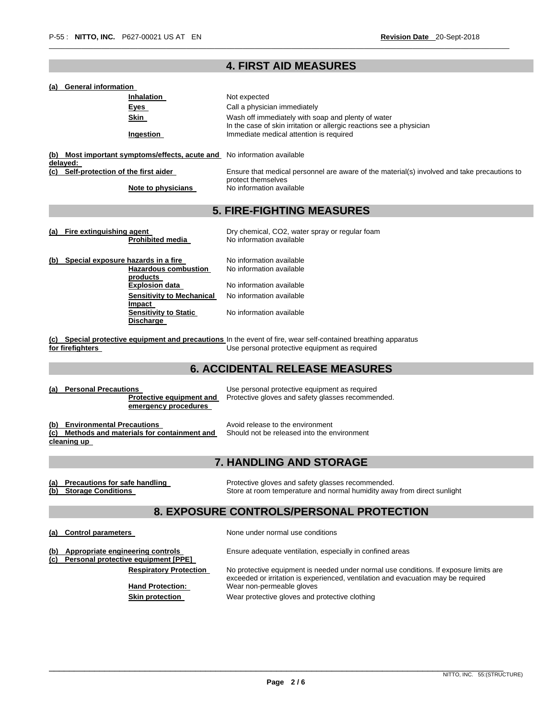## **4. FIRST AID MEASURES**

\_\_\_\_\_\_\_\_\_\_\_\_\_\_\_\_\_\_\_\_\_\_\_\_\_\_\_\_\_\_\_\_\_\_\_\_\_\_\_\_\_\_\_\_\_\_\_\_\_\_\_\_\_\_\_\_\_\_\_\_\_\_\_\_\_\_\_\_\_\_\_\_\_\_\_\_\_\_\_\_\_\_\_\_\_\_\_\_\_\_\_\_\_\_\_\_\_\_\_\_\_\_\_\_\_\_\_\_\_\_\_\_\_\_

| (a) | <b>General information</b> |  |
|-----|----------------------------|--|
|     |                            |  |

|     | Inhalation                                                                      | Not expected                                                                                                               |
|-----|---------------------------------------------------------------------------------|----------------------------------------------------------------------------------------------------------------------------|
|     | <u>Eyes</u>                                                                     | Call a physician immediately                                                                                               |
|     | Skin                                                                            | Wash off immediately with soap and plenty of water<br>In the case of skin irritation or allergic reactions see a physician |
|     | <b>Ingestion</b>                                                                | Immediate medical attention is required                                                                                    |
| (b) | Most important symptoms/effects, acute and No information available<br>delayed: |                                                                                                                            |
|     | (c) Self-protection of the first aider                                          | Ensure that medical personnel are aware of the material(s) involved and take precautions to<br>protect themselves          |
|     | Note to physicians                                                              | No information available                                                                                                   |
|     |                                                                                 | <b>5. FIRE-FIGHTING MEASURES</b>                                                                                           |
|     | (a) Fire extinguishing agent                                                    | Dry chemical, CO2, water spray or regular foam                                                                             |
|     | <b>Prohibited media</b>                                                         | No information available                                                                                                   |
| (b) | Special exposure hazards in a fire                                              | No information available                                                                                                   |
|     | <b>Hazardous combustion</b>                                                     | No information available                                                                                                   |
|     | <u>products</u><br>Explosion data                                               | No information available                                                                                                   |
|     | Sensitivity to Mechanical<br>Impact                                             | No information available                                                                                                   |
|     | <b>Sensitivity to Static</b>                                                    | No information available                                                                                                   |

**(c) Special protective equipment and precautions**  In the event of fire, wear self-contained breathing apparatus **for firefighters**  Use personal protective equipment as required

## **6. ACCIDENTAL RELEASE MEASURES**

**Protective equipment and emergency procedures** 

**(a) Personal Precautions** Use personal protective equipment as required Protective gloves and safety glasses recommended.

(b) Environmental Precautions **Avoid release to the environment (c) Methods and materials for containment and cleaning up** 

**Discharge** 

Should not be released into the environment

## **7. HANDLING AND STORAGE**

**(a) Precautions for safe handling The State of Protective gloves and safety glasses recommended. (b) Storage Conditions** Store at room temperature and normal humidity away from direct sunlight

## **8. EXPOSURE CONTROLS/PERSONAL PROTECTION**

(a) Control parameters **and Control parameters** None under normal use conditions

**(b) Appropriate engineering controls** Ensure adequate ventilation, especially in confined areas

**(c) Personal protective equipment [PPE]** 

**Respiratory Protection** No protective equipment is needed under normal use conditions. If exposure limits are

exceeded or irritation is experienced, ventilation and evacuation may be required **Hand Protection:** Wear non-permeable gloves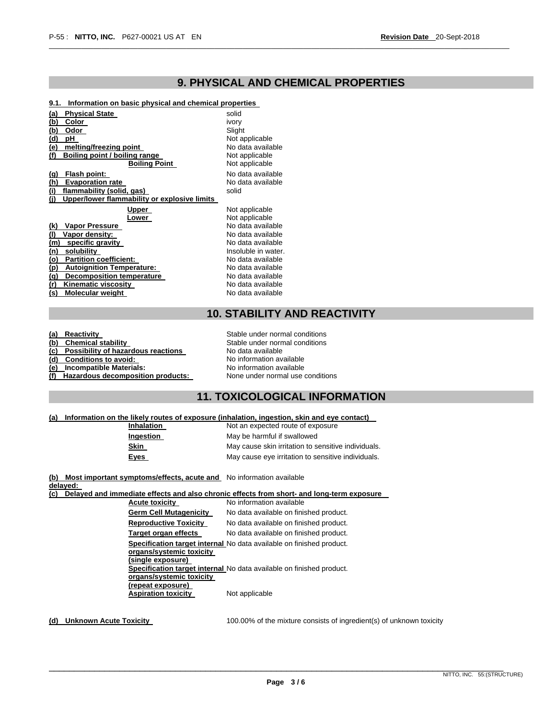## **9. PHYSICAL AND CHEMICAL PROPERTIES**

\_\_\_\_\_\_\_\_\_\_\_\_\_\_\_\_\_\_\_\_\_\_\_\_\_\_\_\_\_\_\_\_\_\_\_\_\_\_\_\_\_\_\_\_\_\_\_\_\_\_\_\_\_\_\_\_\_\_\_\_\_\_\_\_\_\_\_\_\_\_\_\_\_\_\_\_\_\_\_\_\_\_\_\_\_\_\_\_\_\_\_\_\_\_\_\_\_\_\_\_\_\_\_\_\_\_\_\_\_\_\_\_\_\_

#### **9.1. Information on basic physical and chemical properties**

| Physical State<br>(a)                               | solid               |
|-----------------------------------------------------|---------------------|
| <u>(b)</u><br>Color                                 | ivory               |
| (b)<br>Odor                                         | Slight              |
| <u>(d)</u><br>pН                                    | Not applicable      |
| (e)<br>melting/freezing point                       | No data available   |
| (f)<br>Boiling point / boiling range                | Not applicable      |
| <b>Boiling Point</b>                                | Not applicable      |
| Flash point:<br><u>(a)</u>                          | No data available   |
| (h)<br><b>Evaporation rate</b>                      | No data available   |
| (i)<br>flammability (solid, gas)                    | solid               |
| (i)<br>Upper/lower flammability or explosive limits |                     |
|                                                     |                     |
| Upper                                               | Not applicable      |
| _ower                                               | Not applicable      |
| <b>Vapor Pressure</b><br>(k)                        | No data available   |
| (I)<br>Vapor density:                               | No data available   |
| specific gravity<br>(m)                             | No data available   |
| solubility<br>(n)                                   | Insoluble in water. |
| <b>Partition coefficient:</b><br>(o)                | No data available   |
| <u>(p)</u><br><b>Autoignition Temperature:</b>      | No data available   |
| Decomposition temperature<br>(a)                    | No data available   |
| (r)<br>Kinematic viscosity                          | No data available   |
| (s)<br>Molecular weight                             | No data available   |

## **10. STABILITY AND REACTIVITY**

| (a) Reactivity                         | Stable under normal conditions  |
|----------------------------------------|---------------------------------|
| (b) Chemical stability                 | Stable under normal conditions  |
| (c) Possibility of hazardous reactions | No data available               |
| (d) Conditions to avoid:               | No information available        |
| (e) Incompatible Materials:            | No information available        |
| (f) Hazardous decomposition products:  | None under normal use condition |
|                                        |                                 |

**Inder normal conditions** available mation available mation available **nder normal use conditions** 

### **11. TOXICOLOGICAL INFORMATION**

#### **(a) Information on the likely routes of exposure (inhalation, ingestion, skin and eye contact)**

| Inhalation  | Not an expected route of exposure                   |
|-------------|-----------------------------------------------------|
| Ingestion   | May be harmful if swallowed                         |
| Skin        | May cause skin irritation to sensitive individuals. |
| <b>Eyes</b> | May cause eye irritation to sensitive individuals.  |

**(b) Most important symptoms/effects, acute and**  No information available **delayed:** 

**(c) Delayed and immediate effects and also chronic effects from short- and long-term exposure** 

| <b>Acute toxicity</b>         | No information available                                             |
|-------------------------------|----------------------------------------------------------------------|
| <b>Germ Cell Mutagenicity</b> | No data available on finished product.                               |
| <b>Reproductive Toxicity</b>  | No data available on finished product.                               |
| Target organ effects          | No data available on finished product.                               |
|                               | Specification target internal No data available on finished product. |
| organs/systemic toxicity      |                                                                      |
| (single exposure)             |                                                                      |
|                               | Specification target internal No data available on finished product. |
| organs/systemic toxicity      |                                                                      |
| (repeat exposure)             |                                                                      |
| <b>Aspiration toxicity</b>    | Not applicable                                                       |
|                               |                                                                      |

**(d) Unknown Acute Toxicity** 100.00% of the mixture consists of ingredient(s) of unknown toxicity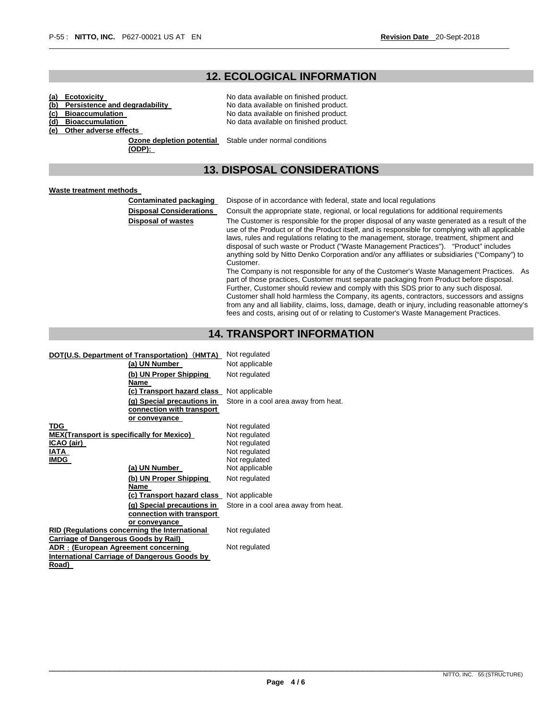## **12. ECOLOGICAL INFORMATION**

\_\_\_\_\_\_\_\_\_\_\_\_\_\_\_\_\_\_\_\_\_\_\_\_\_\_\_\_\_\_\_\_\_\_\_\_\_\_\_\_\_\_\_\_\_\_\_\_\_\_\_\_\_\_\_\_\_\_\_\_\_\_\_\_\_\_\_\_\_\_\_\_\_\_\_\_\_\_\_\_\_\_\_\_\_\_\_\_\_\_\_\_\_\_\_\_\_\_\_\_\_\_\_\_\_\_\_\_\_\_\_\_\_\_

- **(a) Ecotoxicity**<br> **(b) Persistence and degradability** No data available on finished product. **(b) Persistence and degradability No data available on finished product.**<br> **(c) Bioaccumulation No data available on finished product.**
- **(c) Bioaccumulation No data available on finished product.**
- **(d) Bioaccumulation** No data available on finished product.
- **(e) Other adverse effects**

**Ozone depletion potential**  Stable under normal conditions **(ODP):** 

## **13. DISPOSAL CONSIDERATIONS**

#### **Waste treatment methods**

**Contaminated packaging** Dispose of in accordance with federal, state and local regulations

**Disposal Considerations** Consult the appropriate state, regional, or local regulations for additional requirements

**Disposal of wastes** The Customer is responsible for the proper disposal of any waste generated as a result of the use of the Product or of the Product itself, and is responsible for complying with all applicable laws, rules and regulations relating to the management, storage, treatment, shipment and disposal of such waste or Product ("Waste Management Practices"). "Product" includes anything sold by Nitto Denko Corporation and/or any affiliates or subsidiaries ("Company") to Customer. The Company is not responsible for any of the Customer's Waste Management Practices. As

part of those practices, Customer must separate packaging from Product before disposal. Further, Customer should review and comply with this SDS prior to any such disposal. Customer shall hold harmless the Company, its agents, contractors, successors and assigns from any and all liability, claims, loss, damage, death or injury, including reasonable attorney's fees and costs, arising out of or relating to Customer's Waste Management Practices.

### **14. TRANSPORT INFORMATION**

| DOT(U.S. Department of Transportation) (HMTA)                            | Not regulated                        |
|--------------------------------------------------------------------------|--------------------------------------|
| (a) UN Number                                                            | Not applicable                       |
| (b) UN Proper Shipping<br>Name                                           | Not regulated                        |
| (c) Transport hazard class                                               | Not applicable                       |
| (g) Special precautions in<br>connection with transport<br>or conveyance | Store in a cool area away from heat. |
| TDG<br><b>MEX(Transport is specifically for Mexico)</b>                  | Not regulated<br>Not regulated       |
| ICAO (air)                                                               | Not regulated                        |
| IATA                                                                     | Not regulated                        |
| <b>IMDG</b>                                                              | Not regulated                        |
| (a) UN Number                                                            | Not applicable                       |
| (b) UN Proper Shipping<br>Name                                           | Not regulated                        |
| (c) Transport hazard class                                               | Not applicable                       |
| (g) Special precautions in<br>connection with transport                  | Store in a cool area away from heat. |
| or conveyance<br><b>RID (Regulations concerning the International</b>    | Not regulated                        |
| <b>Carriage of Dangerous Goods by Rail)</b>                              |                                      |
| ADR: (European Agreement concerning                                      | Not regulated                        |
| <b>International Carriage of Dangerous Goods by</b>                      |                                      |
| Road)                                                                    |                                      |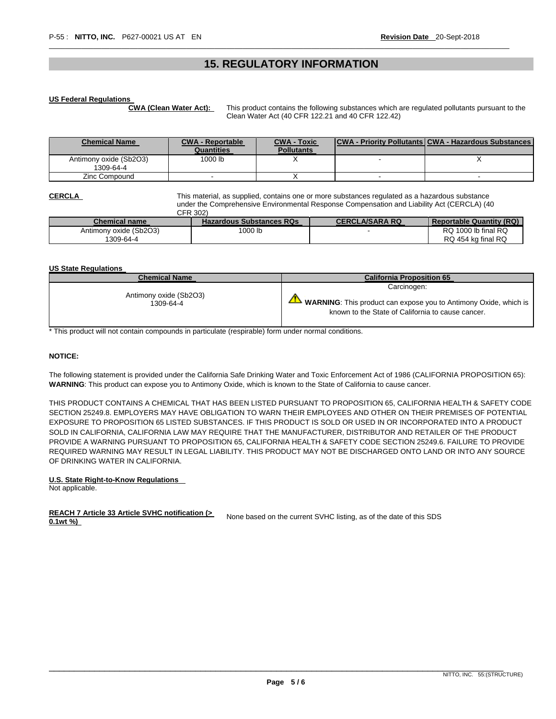### **15. REGULATORY INFORMATION**

\_\_\_\_\_\_\_\_\_\_\_\_\_\_\_\_\_\_\_\_\_\_\_\_\_\_\_\_\_\_\_\_\_\_\_\_\_\_\_\_\_\_\_\_\_\_\_\_\_\_\_\_\_\_\_\_\_\_\_\_\_\_\_\_\_\_\_\_\_\_\_\_\_\_\_\_\_\_\_\_\_\_\_\_\_\_\_\_\_\_\_\_\_\_\_\_\_\_\_\_\_\_\_\_\_\_\_\_\_\_\_\_\_\_

#### **US Federal Regulations**

**CWA (Clean Water Act):** This product contains the following substances which are regulated pollutants pursuant to the Clean Water Act (40 CFR 122.21 and 40 CFR 122.42)

| <b>Chemical Name</b>                | <b>CWA - Reportable</b> | <b>CWA - Toxic</b> | <b>CWA - Priority Pollutants CWA - Hazardous Substances</b> |
|-------------------------------------|-------------------------|--------------------|-------------------------------------------------------------|
|                                     | Quantities              | <b>Pollutants</b>  |                                                             |
| Antimony oxide (Sb2O3)<br>1309-64-4 | 1000 lb                 |                    |                                                             |
| Zinc Compound                       |                         |                    |                                                             |

**CERCLA** This material, as supplied, contains one or more substances regulated as a hazardous substance under the Comprehensive Environmental Response Compensation and Liability Act (CERCLA) (40 CFR 302)

| ------                 |                                 |                       |                          |
|------------------------|---------------------------------|-----------------------|--------------------------|
| <b>Chemical name</b>   | <b>Hazardous Substances RQs</b> | <b>CERCLA/SARA RQ</b> | Reportable Quantity (RQ) |
| Antimony oxide (Sb2O3) | 1000 lb                         |                       | RQ 1000 lb final RQ      |
| 1309-64-4              |                                 |                       | RQ 454 kg final RQ       |

#### **US State Regulations**

| <b>Chemical Name</b>                | <b>California Proposition 65</b>                                                                                                       |  |  |
|-------------------------------------|----------------------------------------------------------------------------------------------------------------------------------------|--|--|
|                                     | Carcinogen:                                                                                                                            |  |  |
| Antimony oxide (Sb2O3)<br>1309-64-4 | $\blacktriangle$ WARNING: This product can expose you to Antimony Oxide, which is<br>known to the State of California to cause cancer. |  |  |

\* This product will not contain compounds in particulate (respirable) form under normal conditions.

#### **NOTICE:**

The following statement is provided under the California Safe Drinking Water and Toxic Enforcement Act of 1986 (CALIFORNIA PROPOSITION 65): **WARNING**: This product can expose you to Antimony Oxide, which is known to the State of California to cause cancer.

THIS PRODUCT CONTAINS A CHEMICAL THAT HAS BEEN LISTED PURSUANT TO PROPOSITION 65, CALIFORNIA HEALTH & SAFETY CODE SECTION 25249.8. EMPLOYERS MAY HAVE OBLIGATION TO WARN THEIR EMPLOYEES AND OTHER ON THEIR PREMISES OF POTENTIAL EXPOSURE TO PROPOSITION 65 LISTED SUBSTANCES. IF THIS PRODUCT IS SOLD OR USED IN OR INCORPORATED INTO A PRODUCT SOLD IN CALIFORNIA, CALIFORNIA LAW MAY REQUIRE THAT THE MANUFACTURER, DISTRIBUTOR AND RETAILER OF THE PRODUCT PROVIDE A WARNING PURSUANT TO PROPOSITION 65, CALIFORNIA HEALTH & SAFETY CODE SECTION 25249.6. FAILURE TO PROVIDE REQUIRED WARNING MAY RESULT IN LEGAL LIABILITY. THIS PRODUCT MAY NOT BE DISCHARGED ONTO LAND OR INTO ANY SOURCE OF DRINKING WATER IN CALIFORNIA.

#### **U.S. State Right-to-Know Regulations**

Not applicable.

#### **REACH 7 Article 33 Article SVHC notification (> 0.1wt** %) *NEACH Y* Article 33 Article SVHC holinication ( $\geq$  None based on the current SVHC listing, as of the date of this SDS